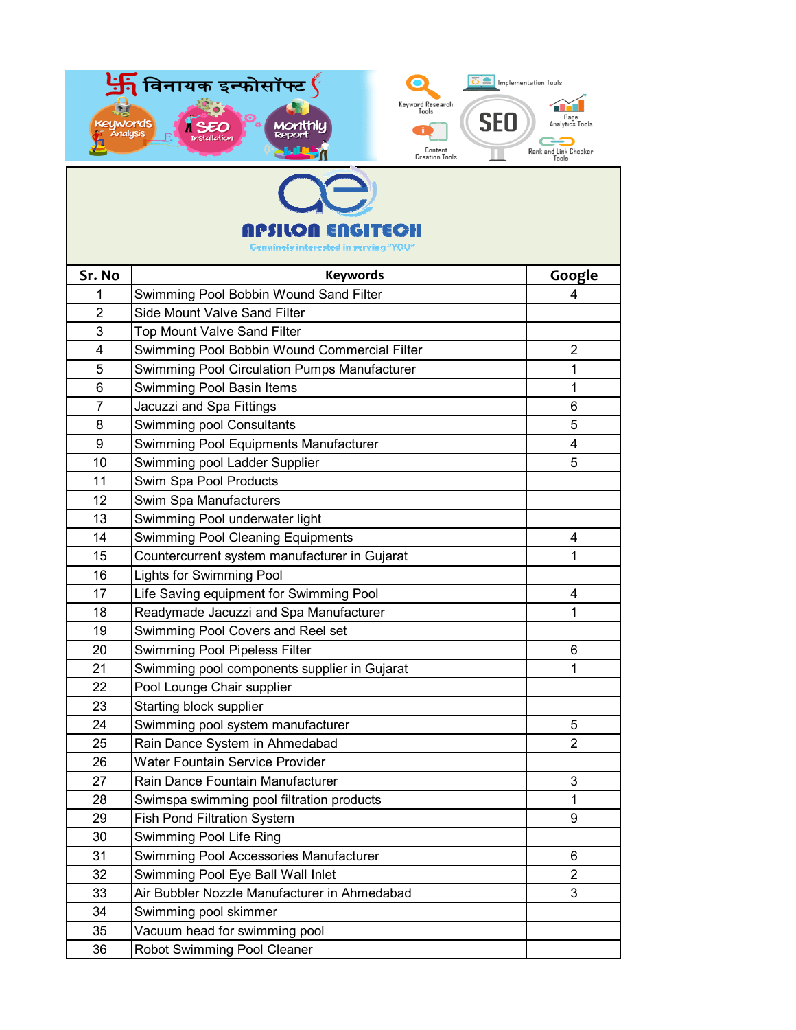| विनायक इन्फोसॉफ्ट $\oint$<br>Implementation Tools<br>Keyword Research<br>Tools<br>SEO<br>Page<br>uwords<br>Analytics Tools<br><b>Analysis</b><br>Content<br>Rank and Link Checker<br>Creation Tools<br>Tools |                                               |                |  |
|--------------------------------------------------------------------------------------------------------------------------------------------------------------------------------------------------------------|-----------------------------------------------|----------------|--|
|                                                                                                                                                                                                              |                                               |                |  |
|                                                                                                                                                                                                              |                                               |                |  |
| E 11 (G)                                                                                                                                                                                                     |                                               |                |  |
| <b>Genuinely interested in serving</b>                                                                                                                                                                       |                                               |                |  |
| Sr. No                                                                                                                                                                                                       | <b>Keywords</b>                               | Google         |  |
| 1                                                                                                                                                                                                            | Swimming Pool Bobbin Wound Sand Filter        | 4              |  |
| 2                                                                                                                                                                                                            | <b>Side Mount Valve Sand Filter</b>           |                |  |
| 3                                                                                                                                                                                                            | <b>Top Mount Valve Sand Filter</b>            |                |  |
| 4                                                                                                                                                                                                            | Swimming Pool Bobbin Wound Commercial Filter  | $\overline{2}$ |  |
| 5                                                                                                                                                                                                            | Swimming Pool Circulation Pumps Manufacturer  | 1              |  |
| 6                                                                                                                                                                                                            | Swimming Pool Basin Items                     | 1              |  |
| 7                                                                                                                                                                                                            | Jacuzzi and Spa Fittings                      | 6              |  |
| 8                                                                                                                                                                                                            | Swimming pool Consultants                     | 5              |  |
| 9                                                                                                                                                                                                            | Swimming Pool Equipments Manufacturer         | 4              |  |
| 10                                                                                                                                                                                                           | Swimming pool Ladder Supplier                 | 5              |  |
| 11                                                                                                                                                                                                           | Swim Spa Pool Products                        |                |  |
| 12                                                                                                                                                                                                           | Swim Spa Manufacturers                        |                |  |
| 13                                                                                                                                                                                                           | Swimming Pool underwater light                |                |  |
| 14                                                                                                                                                                                                           | <b>Swimming Pool Cleaning Equipments</b>      | 4              |  |
| 15                                                                                                                                                                                                           | Countercurrent system manufacturer in Gujarat | 1              |  |
| 16                                                                                                                                                                                                           | <b>Lights for Swimming Pool</b>               |                |  |
| 17                                                                                                                                                                                                           | Life Saving equipment for Swimming Pool       | 4              |  |
| 18                                                                                                                                                                                                           | Readymade Jacuzzi and Spa Manufacturer        | 1              |  |
| 19                                                                                                                                                                                                           | Swimming Pool Covers and Reel set             |                |  |
| 20                                                                                                                                                                                                           | Swimming Pool Pipeless Filter                 | 6              |  |
| 21                                                                                                                                                                                                           | Swimming pool components supplier in Gujarat  | 1              |  |
| 22                                                                                                                                                                                                           | Pool Lounge Chair supplier                    |                |  |
| 23                                                                                                                                                                                                           | Starting block supplier                       |                |  |
| 24                                                                                                                                                                                                           | Swimming pool system manufacturer             | 5              |  |
| 25                                                                                                                                                                                                           | Rain Dance System in Ahmedabad                | $\overline{2}$ |  |
| 26                                                                                                                                                                                                           | Water Fountain Service Provider               |                |  |
| 27                                                                                                                                                                                                           | Rain Dance Fountain Manufacturer              | 3              |  |
| 28                                                                                                                                                                                                           | Swimspa swimming pool filtration products     | 1              |  |
| 29                                                                                                                                                                                                           | Fish Pond Filtration System                   | 9              |  |
| 30                                                                                                                                                                                                           | Swimming Pool Life Ring                       |                |  |
| 31                                                                                                                                                                                                           | Swimming Pool Accessories Manufacturer        | 6              |  |
| 32                                                                                                                                                                                                           | Swimming Pool Eye Ball Wall Inlet             | $\overline{2}$ |  |
| 33                                                                                                                                                                                                           | Air Bubbler Nozzle Manufacturer in Ahmedabad  | 3              |  |
| 34                                                                                                                                                                                                           | Swimming pool skimmer                         |                |  |
| 35                                                                                                                                                                                                           | Vacuum head for swimming pool                 |                |  |
| 36                                                                                                                                                                                                           | Robot Swimming Pool Cleaner                   |                |  |